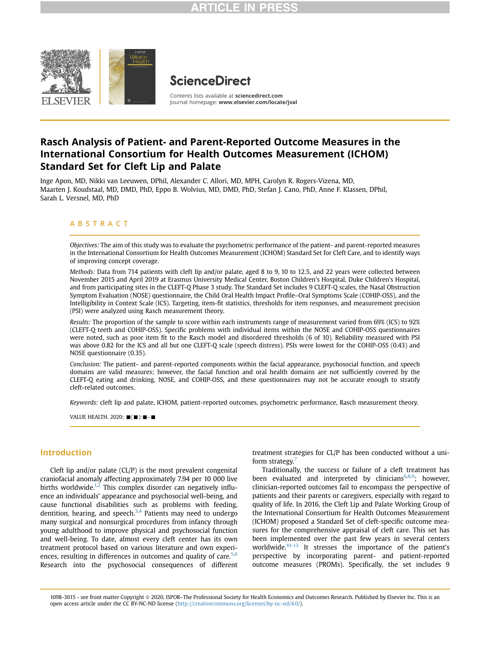

# **ScienceDirect**

Contents lists available at [sciencedirect.com](www.sciencedirect.com) Journal homepage: <www.elsevier.com/locate/jval>

# Rasch Analysis of Patient- and Parent-Reported Outcome Measures in the International Consortium for Health Outcomes Measurement (ICHOM) Standard Set for Cleft Lip and Palate

Inge Apon, MD, Nikki van Leeuwen, DPhil, Alexander C. Allori, MD, MPH, Carolyn R. Rogers-Vizena, MD, Maarten J. Koudstaal, MD, DMD, PhD, Eppo B. Wolvius, MD, DMD, PhD, Stefan J. Cano, PhD, Anne F. Klassen, DPhil, Sarah L. Versnel, MD, PhD

## ABSTRACT

Objectives: The aim of this study was to evaluate the psychometric performance of the patient- and parent-reported measures in the International Consortium for Health Outcomes Measurement (ICHOM) Standard Set for Cleft Care, and to identify ways of improving concept coverage.

Methods: Data from 714 patients with cleft lip and/or palate, aged 8 to 9, 10 to 12.5, and 22 years were collected between November 2015 and April 2019 at Erasmus University Medical Center, Boston Children's Hospital, Duke Children's Hospital, and from participating sites in the CLEFT-Q Phase 3 study. The Standard Set includes 9 CLEFT-Q scales, the Nasal Obstruction Symptom Evaluation (NOSE) questionnaire, the Child Oral Health Impact Profile–Oral Symptoms Scale (COHIP-OSS), and the Intelligibility in Context Scale (ICS). Targeting, item-fit statistics, thresholds for item responses, and measurement precision (PSI) were analyzed using Rasch measurement theory.

Results: The proportion of the sample to score within each instruments range of measurement varied from 69% (ICS) to 92% (CLEFT-Q teeth and COHIP-OSS). Specific problems with individual items within the NOSE and COHIP-OSS questionnaires were noted, such as poor item fit to the Rasch model and disordered thresholds (6 of 10). Reliability measured with PSI was above 0.82 for the ICS and all but one CLEFT-Q scale (speech distress). PSIs were lowest for the COHIP-OSS (0.43) and NOSE questionnaire (0.35).

Conclusion: The patient- and parent-reported components within the facial appearance, psychosocial function, and speech domains are valid measures; however, the facial function and oral health domains are not sufficiently covered by the CLEFT-Q eating and drinking, NOSE, and COHIP-OSS, and these questionnaires may not be accurate enough to stratify cleft-related outcomes.

Keywords: cleft lip and palate, ICHOM, patient-reported outcomes, psychometric performance, Rasch measurement theory.

VALUE HEALTH. 2020;  $\blacksquare(\blacksquare)$ :  $\blacksquare$  - $\blacksquare$ 

## Introduction

Cleft lip and/or palate (CL/P) is the most prevalent congenital craniofacial anomaly affecting approximately 7.94 per 10 000 live births worldwide.<sup>[1,](#page-7-0)[2](#page-7-1)</sup> This complex disorder can negatively influence an individuals' appearance and psychosocial well-being, and cause functional disabilities such as problems with feeding, dentition, hearing, and speech. $3,4$  $3,4$  Patients may need to undergo many surgical and nonsurgical procedures from infancy through young adulthood to improve physical and psychosocial function and well-being. To date, almost every cleft center has its own treatment protocol based on various literature and own experiences, resulting in differences in outcomes and quality of care. $5,6$  $5,6$  $5,6$ Research into the psychosocial consequences of different treatment strategies for CL/P has been conducted without a uni-form strategy.<sup>[7](#page-7-6)</sup>

Traditionally, the success or failure of a cleft treatment has been evaluated and interpreted by clinicians<sup>[6](#page-7-5)[,8,](#page-7-7)[9](#page-7-8)</sup>; however, clinician-reported outcomes fail to encompass the perspective of patients and their parents or caregivers, especially with regard to quality of life. In 2016, the Cleft Lip and Palate Working Group of the International Consortium for Health Outcomes Measurement (ICHOM) proposed a Standard Set of cleft-specific outcome measures for the comprehensive appraisal of cleft care. This set has been implemented over the past few years in several centers worldwide.<sup>10-13</sup> It stresses the importance of the patient's perspective by incorporating parent- and patient-reported outcome measures (PROMs). Specifically, the set includes 9

1098-3015 - see front matter Copyright @ 2020, ISPOR–The Professional Society for Health Economics and Outcomes Research. Published by Elsevier Inc. This is an open access article under the CC BY-NC-ND license [\(http://creativecommons.org/licenses/by-nc-nd/4.0/\)](http://creativecommons.org/licenses/by-nc-nd/4.0/).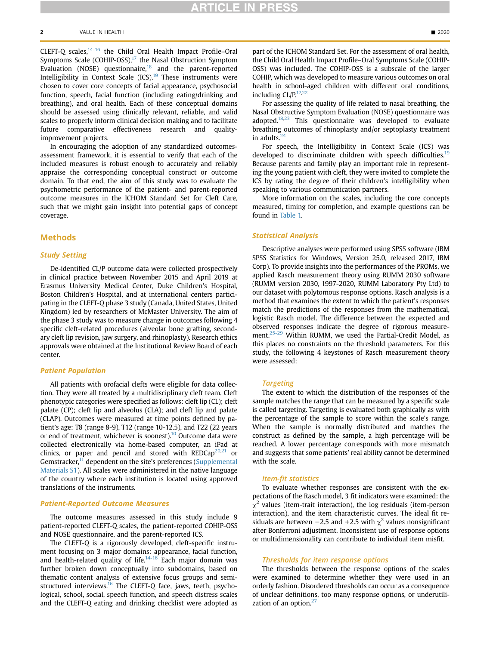#### $2$  value in Health  $\blacksquare$  2020

CLEFT-Q scales,<sup>14-16</sup> the Child Oral Health Impact Profile-Oral Symptoms Scale (COHIP-OSS), $17$  the Nasal Obstruction Symptom Evaluation (NOSE) questionnaire, $18$  and the parent-reported Intelligibility in Context Scale  $(ICS)$ .<sup>[19](#page-8-2)</sup> These instruments were chosen to cover core concepts of facial appearance, psychosocial function, speech, facial function (including eating/drinking and breathing), and oral health. Each of these conceptual domains should be assessed using clinically relevant, reliable, and valid scales to properly inform clinical decision making and to facilitate future comparative effectiveness research and qualityimprovement projects.

In encouraging the adoption of any standardized outcomesassessment framework, it is essential to verify that each of the included measures is robust enough to accurately and reliably appraise the corresponding conceptual construct or outcome domain. To that end, the aim of this study was to evaluate the psychometric performance of the patient- and parent-reported outcome measures in the ICHOM Standard Set for Cleft Care, such that we might gain insight into potential gaps of concept coverage.

## Methods

## Study Setting

De-identified CL/P outcome data were collected prospectively in clinical practice between November 2015 and April 2019 at Erasmus University Medical Center, Duke Children's Hospital, Boston Children's Hospital, and at international centers participating in the CLEFT-Q phase 3 study (Canada, United States, United Kingdom) led by researchers of McMaster University. The aim of the phase 3 study was to measure change in outcomes following 4 specific cleft-related procedures (alveolar bone grafting, secondary cleft lip revision, jaw surgery, and rhinoplasty). Research ethics approvals were obtained at the Institutional Review Board of each center.

### Patient Population

All patients with orofacial clefts were eligible for data collection. They were all treated by a multidisciplinary cleft team. Cleft phenotypic categories were specified as follows: cleft lip (CL); cleft palate (CP); cleft lip and alveolus (CLA); and cleft lip and palate (CLAP). Outcomes were measured at time points defined by patient's age: T8 (range 8-9), T12 (range 10-12.5), and T22 (22 years or end of treatment, whichever is soonest).<sup>10</sup> Outcome data were collected electronically via home-based computer, an iPad at clinics, or paper and pencil and stored with REDCap<sup>20[,21](#page-8-4)</sup> or Gemstracker,<sup>11</sup> dependent on the site's preferences (Supplemental Materials S1). All scales were administered in the native language of the country where each institution is located using approved translations of the instruments.

## Patient-Reported Outcome Measures

The outcome measures assessed in this study include 9 patient-reported CLEFT-Q scales, the patient-reported COHIP-OSS and NOSE questionnaire, and the parent-reported ICS.

The CLEFT-Q is a rigorously developed, cleft-specific instrument focusing on 3 major domains: appearance, facial function, and health-related quality of life. $14-16$  Each major domain was further broken down conceptually into subdomains, based on thematic content analysis of extensive focus groups and semi-structured interviews.<sup>[16](#page-8-5)</sup> The CLEFT-Q face, jaws, teeth, psychological, school, social, speech function, and speech distress scales and the CLEFT-Q eating and drinking checklist were adopted as

part of the ICHOM Standard Set. For the assessment of oral health, the Child Oral Health Impact Profile–Oral Symptoms Scale (COHIP-OSS) was included. The COHIP-OSS is a subscale of the larger COHIP, which was developed to measure various outcomes on oral health in school-aged children with different oral conditions, including  $CL/P<sub>17,22</sub>$  $CL/P<sub>17,22</sub>$  $CL/P<sub>17,22</sub>$ 

For assessing the quality of life related to nasal breathing, the Nasal Obstructive Symptom Evaluation (NOSE) questionnaire was adopted. $18,23$  $18,23$  This questionnaire was developed to evaluate breathing outcomes of rhinoplasty and/or septoplasty treatment in adults. $<sup>2</sup>$ </sup>

For speech, the Intelligibility in Context Scale (ICS) was developed to discriminate children with speech difficulties.<sup>[19](#page-8-2)</sup> Because parents and family play an important role in representing the young patient with cleft, they were invited to complete the ICS by rating the degree of their children's intelligibility when speaking to various communication partners.

More information on the scales, including the core concepts measured, timing for completion, and example questions can be found in [Table 1.](#page-2-0)

### Statistical Analysis

Descriptive analyses were performed using SPSS software (IBM SPSS Statistics for Windows, Version 25.0, released 2017, IBM Corp). To provide insights into the performances of the PROMs, we applied Rasch measurement theory using RUMM 2030 software (RUMM version 2030, 1997-2020, RUMM Laboratory Pty Ltd) to our dataset with polytomous response options. Rasch analysis is a method that examines the extent to which the patient's responses match the predictions of the responses from the mathematical, logistic Rasch model. The difference between the expected and observed responses indicate the degree of rigorous measure-ment.<sup>[25-29](#page-8-9)</sup> Within RUMM, we used the Partial-Credit Model, as this places no constraints on the threshold parameters. For this study, the following 4 keystones of Rasch measurement theory were assessed:

#### Targeting

The extent to which the distribution of the responses of the sample matches the range that can be measured by a specific scale is called targeting. Targeting is evaluated both graphically as with the percentage of the sample to score within the scale's range. When the sample is normally distributed and matches the construct as defined by the sample, a high percentage will be reached. A lower percentage corresponds with more mismatch and suggests that some patients' real ability cannot be determined with the scale.

#### Item-fit statistics

To evaluate whether responses are consistent with the expectations of the Rasch model, 3 fit indicators were examined: the  $\chi^2$  values (item-trait interaction), the log residuals (item-person interaction), and the item characteristic curves. The ideal fit residuals are between  $-2.5$  and  $+2.5$  with  $\chi^2$  values nonsignificant after Bonferroni adjustment. Inconsistent use of response options or multidimensionality can contribute to individual item misfit.

### Thresholds for item response options

The thresholds between the response options of the scales were examined to determine whether they were used in an orderly fashion. Disordered thresholds can occur as a consequence of unclear definitions, too many response options, or underutili-zation of an option.<sup>[27](#page-8-10)</sup>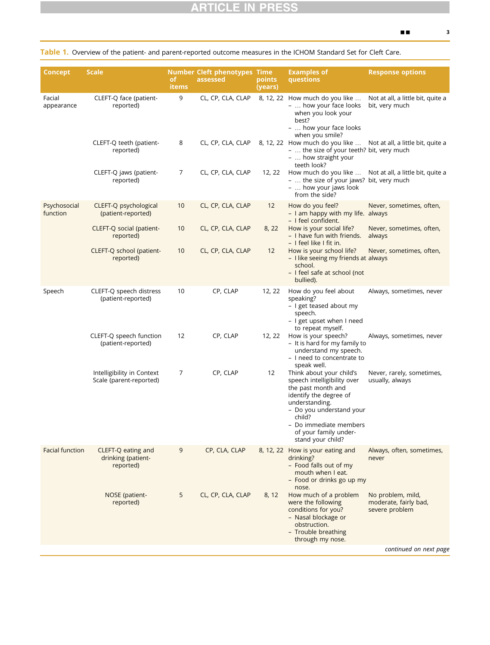<span id="page-2-0"></span>

|  |  |  |  | Table 1. Overview of the patient- and parent-reported outcome measures in the ICHOM Standard Set for Cleft Care. |
|--|--|--|--|------------------------------------------------------------------------------------------------------------------|
|--|--|--|--|------------------------------------------------------------------------------------------------------------------|

| <b>Concept</b>           | <b>Scale</b>                                          | of.<br>items | <b>Number Cleft phenotypes Time</b><br>assessed | points<br>(years) | <b>Examples of</b><br>questions                                                                                                                                                                                                         | <b>Response options</b>                                      |
|--------------------------|-------------------------------------------------------|--------------|-------------------------------------------------|-------------------|-----------------------------------------------------------------------------------------------------------------------------------------------------------------------------------------------------------------------------------------|--------------------------------------------------------------|
| Facial<br>appearance     | CLEFT-Q face (patient-<br>reported)                   | 9            | CL, CP, CLA, CLAP                               |                   | 8, 12, 22 How much do you like<br>-  how your face looks<br>when you look your<br>best?<br>-  how your face looks<br>when you smile?                                                                                                    | Not at all, a little bit, quite a<br>bit, very much          |
|                          | CLEFT-Q teeth (patient-<br>reported)                  | 8            | CL, CP, CLA, CLAP                               |                   | 8, 12, 22 How much do you like  Not at all, a little bit, quite a<br>-  the size of your teeth? bit, very much<br>$-$ how straight your<br>teeth look?                                                                                  |                                                              |
|                          | CLEFT-Q jaws (patient-<br>reported)                   | 7            | CL, CP, CLA, CLAP                               | 12, 22            | How much do you like<br>-  the size of your jaws? bit, very much<br>-  how your jaws look<br>from the side?                                                                                                                             | Not at all, a little bit, quite a                            |
| Psychosocial<br>function | CLEFT-Q psychological<br>(patient-reported)           | 10           | CL, CP, CLA, CLAP                               | 12                | How do you feel?<br>- I am happy with my life. always<br>- I feel confident.                                                                                                                                                            | Never, sometimes, often,                                     |
|                          | CLEFT-Q social (patient-<br>reported)                 | 10           | CL, CP, CLA, CLAP                               | 8, 22             | How is your social life?<br>- I have fun with friends.<br>- I feel like I fit in.                                                                                                                                                       | Never, sometimes, often,<br>always                           |
|                          | CLEFT-Q school (patient-<br>reported)                 | 10           | CL, CP, CLA, CLAP                               | 12                | How is your school life?<br>- I like seeing my friends at always<br>school.<br>- I feel safe at school (not<br>bullied).                                                                                                                | Never, sometimes, often,                                     |
| Speech                   | CLEFT-Q speech distress<br>(patient-reported)         | 10           | CP, CLAP                                        | 12, 22            | How do you feel about<br>speaking?<br>- I get teased about my<br>speech.<br>- I get upset when I need<br>to repeat myself.                                                                                                              | Always, sometimes, never                                     |
|                          | CLEFT-Q speech function<br>(patient-reported)         | 12           | CP, CLAP                                        | 12, 22            | How is your speech?<br>- It is hard for my family to<br>understand my speech.<br>- I need to concentrate to<br>speak well.                                                                                                              | Always, sometimes, never                                     |
|                          | Intelligibility in Context<br>Scale (parent-reported) | 7            | CP, CLAP                                        | 12                | Think about your child's<br>speech intelligibility over<br>the past month and<br>identify the degree of<br>understanding.<br>- Do you understand your<br>child?<br>- Do immediate members<br>of your family under-<br>stand your child? | Never, rarely, sometimes,<br>usually, always                 |
| <b>Facial function</b>   | CLEFT-Q eating and<br>drinking (patient-<br>reported) | 9            | CP, CLA, CLAP                                   |                   | 8, 12, 22 How is your eating and<br>drinking?<br>- Food falls out of my<br>mouth when I eat.<br>- Food or drinks go up my<br>nose.                                                                                                      | Always, often, sometimes,<br>never                           |
|                          | NOSE (patient-<br>reported)                           | 5            | CL, CP, CLA, CLAP                               | 8, 12             | How much of a problem<br>were the following<br>conditions for you?<br>- Nasal blockage or<br>obstruction.<br>- Trouble breathing<br>through my nose.                                                                                    | No problem, mild,<br>moderate, fairly bad,<br>severe problem |
|                          |                                                       |              |                                                 |                   |                                                                                                                                                                                                                                         | continued on next page                                       |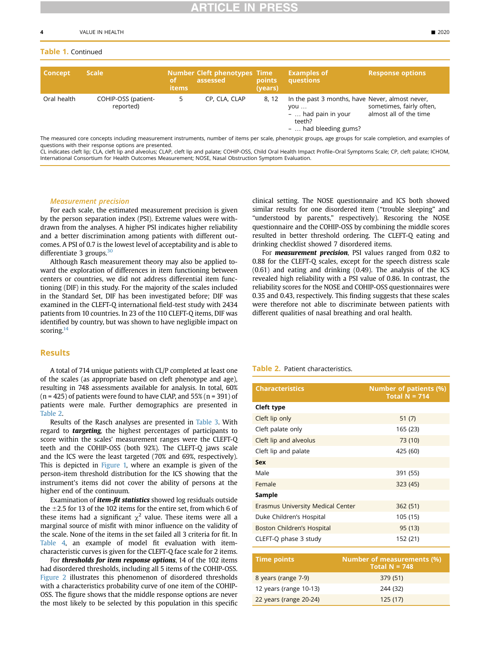## Table 1. Continued

| <b>Concept</b> | <b>Scale</b>                     | <b>of</b><br><b>items</b> | <b>Number Cleft phenotypes Time</b><br>assessed | points<br>(vears) | <b>Examples of</b><br>questions                                                                                    | <b>Response options</b>                            |
|----------------|----------------------------------|---------------------------|-------------------------------------------------|-------------------|--------------------------------------------------------------------------------------------------------------------|----------------------------------------------------|
| Oral health    | COHIP-OSS (patient-<br>reported) |                           | CP, CLA, CLAP                                   | 8.12              | In the past 3 months, have Never, almost never,<br>VOU<br>$-$ had pain in your<br>teeth?<br>$-$ had bleeding gums? | sometimes, fairly often,<br>almost all of the time |

The measured core concepts including measurement instruments, number of items per scale, phenotypic groups, age groups for scale completion, and examples of questions with their response options are presented.

CL indicates cleft lip; CLA, cleft lip and alveolus; CLAP, cleft lip and palate; COHIP-OSS, Child Oral Health Impact Profile–Oral Symptoms Scale; CP, cleft palate; ICHOM, International Consortium for Health Outcomes Measurement; NOSE, Nasal Obstruction Symptom Evaluation.

### Measurement precision

For each scale, the estimated measurement precision is given by the person separation index (PSI). Extreme values were withdrawn from the analyses. A higher PSI indicates higher reliability and a better discrimination among patients with different outcomes. A PSI of 0.7 is the lowest level of acceptability and is able to differentiate 3 groups.<sup>[30](#page-8-11)</sup>

Although Rasch measurement theory may also be applied toward the exploration of differences in item functioning between centers or countries, we did not address differential item functioning (DIF) in this study. For the majority of the scales included in the Standard Set, DIF has been investigated before; DIF was examined in the CLEFT-Q international field-test study with 2434 patients from 10 countries. In 23 of the 110 CLEFT-Q items, DIF was identified by country, but was shown to have negligible impact on scoring. $14$ 

## **Results**

A total of 714 unique patients with CL/P completed at least one of the scales (as appropriate based on cleft phenotype and age), resulting in 748 assessments available for analysis. In total, 60%  $(n = 425)$  of patients were found to have CLAP, and  $55\%$   $(n = 391)$  of patients were male. Further demographics are presented in [Table 2](#page-3-0).

Results of the Rasch analyses are presented in [Table 3.](#page-4-0) With regard to **targeting**, the highest percentages of participants to score within the scales' measurement ranges were the CLEFT-Q teeth and the COHIP-OSS (both 92%). The CLEFT-Q jaws scale and the ICS were the least targeted (70% and 69%, respectively). This is depicted in [Figure 1,](#page-4-1) where an example is given of the person-item threshold distribution for the ICS showing that the instrument's items did not cover the ability of persons at the higher end of the continuum.

Examination of *item-fit statistics* showed log residuals outside the  $\pm$ 2.5 for 13 of the 102 items for the entire set, from which 6 of these items had a significant  $\chi^2$  value. These items were all a marginal source of misfit with minor influence on the validity of the scale. None of the items in the set failed all 3 criteria for fit. In [Table 4](#page-5-0), an example of model fit evaluation with itemcharacteristic curves is given for the CLEFT-Q face scale for 2 items.

For **thresholds for item response options**, 14 of the 102 items had disordered thresholds, including all 5 items of the COHIP-OSS. [Figure 2](#page-6-0) illustrates this phenomenon of disordered thresholds with a characteristics probability curve of one item of the COHIP-OSS. The figure shows that the middle response options are never the most likely to be selected by this population in this specific

clinical setting. The NOSE questionnaire and ICS both showed similar results for one disordered item ("trouble sleeping" and "understood by parents," respectively). Rescoring the NOSE questionnaire and the COHIP-OSS by combining the middle scores resulted in better threshold ordering. The CLEFT-Q eating and drinking checklist showed 7 disordered items.

For **measurement precision**, PSI values ranged from 0.82 to 0.88 for the CLEFT-Q scales, except for the speech distress scale (0.61) and eating and drinking (0.49). The analysis of the ICS revealed high reliability with a PSI value of 0.86. In contrast, the reliability scores for the NOSE and COHIP-OSS questionnaires were 0.35 and 0.43, respectively. This finding suggests that these scales were therefore not able to discriminate between patients with different qualities of nasal breathing and oral health.

### <span id="page-3-0"></span>Table 2. Patient characteristics.

| <b>Characteristics</b>            | <b>Number of patients (%)</b><br>Total $N = 714$ |
|-----------------------------------|--------------------------------------------------|
| Cleft type                        |                                                  |
| Cleft lip only                    | 51(7)                                            |
| Cleft palate only                 | 165 (23)                                         |
| Cleft lip and alveolus            | 73 (10)                                          |
| Cleft lip and palate              | 425 (60)                                         |
| <b>Sex</b>                        |                                                  |
| Male                              | 391 (55)                                         |
| Female                            | 323 (45)                                         |
| Sample                            |                                                  |
| Erasmus University Medical Center | 362 (51)                                         |
| Duke Children's Hospital          | 105 (15)                                         |
| Boston Children's Hospital        | 95 (13)                                          |
| CLEFT-Q phase 3 study             | 152 (21)                                         |

| <b>Time points</b>     | <b>Number of measurements (%)</b><br>Total $N = 748$ |
|------------------------|------------------------------------------------------|
| 8 years (range 7-9)    | 379 (51)                                             |
| 12 years (range 10-13) | 244 (32)                                             |
| 22 years (range 20-24) | 125(17)                                              |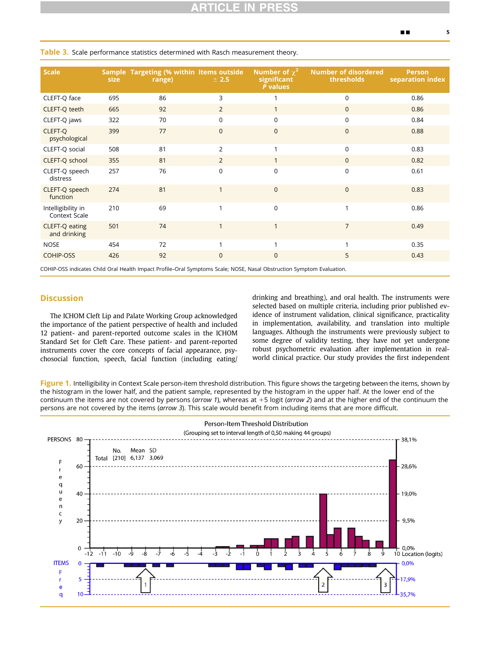| <b>Scale</b>                                                                   | <b>size</b> | Sample Targeting (% within Items outside<br>range) | ± 2.5          | Number of $\chi^2$<br>significant<br>P values | <b>Number of disordered</b><br>thresholds | <b>Person</b><br>separation index |  |
|--------------------------------------------------------------------------------|-------------|----------------------------------------------------|----------------|-----------------------------------------------|-------------------------------------------|-----------------------------------|--|
| CLEFT-Q face                                                                   | 695         | 86                                                 | 3              |                                               | $\Omega$                                  | 0.86                              |  |
| CLEFT-Q teeth                                                                  | 665         | 92                                                 | $\overline{2}$ |                                               | $\mathbf{0}$                              | 0.86                              |  |
| CLEFT-Q jaws                                                                   | 322         | 70                                                 | $\Omega$       | $\Omega$                                      | $\Omega$                                  | 0.84                              |  |
| <b>CLEFT-Q</b><br>psychological                                                | 399         | 77                                                 | $\Omega$       | $\Omega$                                      | $\Omega$                                  | 0.88                              |  |
| CLEFT-Q social                                                                 | 508         | 81                                                 | $\overline{2}$ |                                               | $\mathbf 0$                               | 0.83                              |  |
| CLEFT-Q school                                                                 | 355         | 81                                                 | $\overline{2}$ |                                               | $\mathbf{0}$                              | 0.82                              |  |
| CLEFT-Q speech<br>distress                                                     | 257         | 76                                                 | $\Omega$       | $\Omega$                                      | 0                                         | 0.61                              |  |
| CLEFT-Q speech<br>function                                                     | 274         | 81                                                 | 1              | $\Omega$                                      | $\overline{0}$                            | 0.83                              |  |
| Intelligibility in<br>Context Scale                                            | 210         | 69                                                 | 1              | $\Omega$                                      |                                           | 0.86                              |  |
| CLEFT-Q eating<br>and drinking                                                 | 501         | 74                                                 | 1              |                                               | $\overline{7}$                            | 0.49                              |  |
| <b>NOSE</b>                                                                    | 454         | 72                                                 |                |                                               |                                           | 0.35                              |  |
| COHIP-OSS                                                                      | 426         | 92                                                 | $\Omega$       | $\Omega$                                      | 5                                         | 0.43                              |  |
| $\sim$ $\sim$ $\sim$ $\sim$ $\sim$ $\sim$ $\sim$ $\sim$<br>$-1$ $-1$ $-1$ $-1$ |             |                                                    |                |                                               |                                           |                                   |  |

<span id="page-4-0"></span>Table 3. Scale performance statistics determined with Rasch measurement theory.

COHIP-OSS indicates Child Oral Health Impact Profile–Oral Symptoms Scale; NOSE, Nasal Obstruction Symptom Evaluation.

## **Discussion**

The ICHOM Cleft Lip and Palate Working Group acknowledged the importance of the patient perspective of health and included 12 patient- and parent-reported outcome scales in the ICHOM Standard Set for Cleft Care. These patient- and parent-reported instruments cover the core concepts of facial appearance, psychosocial function, speech, facial function (including eating/ drinking and breathing), and oral health. The instruments were selected based on multiple criteria, including prior published evidence of instrument validation, clinical significance, practicality in implementation, availability, and translation into multiple languages. Although the instruments were previously subject to some degree of validity testing, they have not yet undergone robust psychometric evaluation after implementation in realworld clinical practice. Our study provides the first independent

<span id="page-4-1"></span>Figure 1. Intelligibility in Context Scale person-item threshold distribution. This figure shows the targeting between the items, shown by the histogram in the lower half, and the patient sample, represented by the histogram in the upper half. At the lower end of the continuum the items are not covered by persons (arrow 1), whereas at  $+5$  logit (arrow 2) and at the higher end of the continuum the persons are not covered by the items (arrow 3). This scale would benefit from including items that are more difficult.

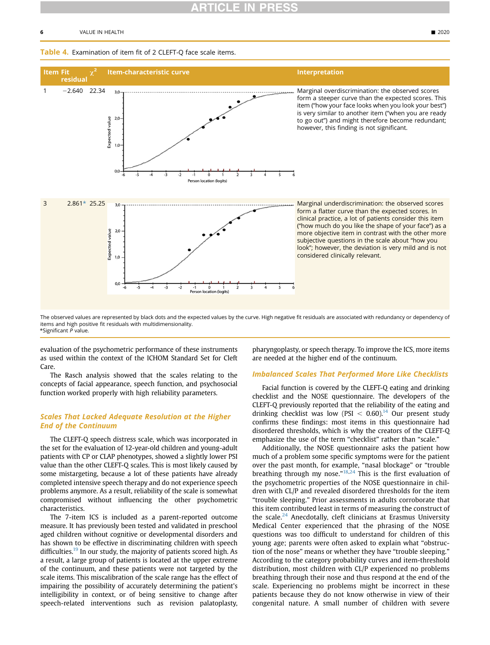#### 6 VALUE IN HEALTH - 2020

## <span id="page-5-0"></span>Table 4. Examination of item fit of 2 CLEFT-Q face scale items.



<span id="page-5-1"></span>The observed values are represented by black dots and the expected values by the curve. High negative fit residuals are associated with redundancy or dependency of items and high positive fit residuals with multidimensionality. \*Significant P value.

evaluation of the psychometric performance of these instruments as used within the context of the ICHOM Standard Set for Cleft Care.

The Rasch analysis showed that the scales relating to the concepts of facial appearance, speech function, and psychosocial function worked properly with high reliability parameters.

## Scales That Lacked Adequate Resolution at the Higher End of the Continuum

The CLEFT-Q speech distress scale, which was incorporated in the set for the evaluation of 12-year-old children and young-adult patients with CP or CLAP phenotypes, showed a slightly lower PSI value than the other CLEFT-Q scales. This is most likely caused by some mistargeting, because a lot of these patients have already completed intensive speech therapy and do not experience speech problems anymore. As a result, reliability of the scale is somewhat compromised without influencing the other psychometric characteristics.

The 7-item ICS is included as a parent-reported outcome measure. It has previously been tested and validated in preschool aged children without cognitive or developmental disorders and has shown to be effective in discriminating children with speech difficulties.<sup>[19](#page-8-2)</sup> In our study, the majority of patients scored high. As a result, a large group of patients is located at the upper extreme of the continuum, and these patients were not targeted by the scale items. This miscalibration of the scale range has the effect of impairing the possibility of accurately determining the patient's intelligibility in context, or of being sensitive to change after speech-related interventions such as revision palatoplasty,

pharyngoplasty, or speech therapy. To improve the ICS, more items are needed at the higher end of the continuum.

## Imbalanced Scales That Performed More Like Checklists

Facial function is covered by the CLEFT-Q eating and drinking checklist and the NOSE questionnaire. The developers of the CLEFT-Q previously reported that the reliability of the eating and drinking checklist was low (PSI  $<$  0.60).<sup>14</sup> Our present study confirms these findings: most items in this questionnaire had disordered thresholds, which is why the creators of the CLEFT-Q emphasize the use of the term "checklist" rather than "scale."

Additionally, the NOSE questionnaire asks the patient how much of a problem some specific symptoms were for the patient over the past month, for example, "nasal blockage" or "trouble breathing through my nose." $18,24$  $18,24$  $18,24$  This is the first evaluation of the psychometric properties of the NOSE questionnaire in children with CL/P and revealed disordered thresholds for the item "trouble sleeping." Prior assessments in adults corroborate that this item contributed least in terms of measuring the construct of the scale. $24$  Anecdotally, cleft clinicians at Erasmus University Medical Center experienced that the phrasing of the NOSE questions was too difficult to understand for children of this young age; parents were often asked to explain what "obstruction of the nose" means or whether they have "trouble sleeping." According to the category probability curves and item-threshold distribution, most children with CL/P experienced no problems breathing through their nose and thus respond at the end of the scale. Experiencing no problems might be incorrect in these patients because they do not know otherwise in view of their congenital nature. A small number of children with severe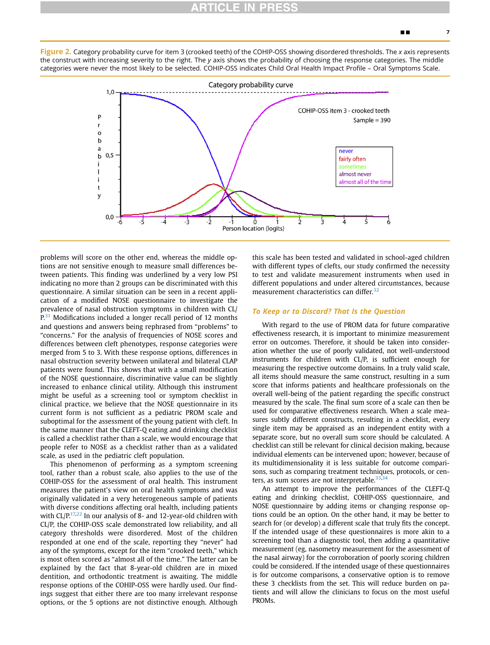<span id="page-6-0"></span>Figure 2. Category probability curve for item 3 (crooked teeth) of the COHIP-OSS showing disordered thresholds. The x axis represents the construct with increasing severity to the right. The y axis shows the probability of choosing the response categories. The middle categories were never the most likely to be selected. COHIP-OSS indicates Child Oral Health Impact Profile – Oral Symptoms Scale.

![](_page_6_Figure_3.jpeg)

problems will score on the other end, whereas the middle options are not sensitive enough to measure small differences between patients. This finding was underlined by a very low PSI indicating no more than 2 groups can be discriminated with this questionnaire. A similar situation can be seen in a recent application of a modified NOSE questionnaire to investigate the prevalence of nasal obstruction symptoms in children with CL/  $P<sub>1</sub><sup>31</sup>$  $P<sub>1</sub><sup>31</sup>$  $P<sub>1</sub><sup>31</sup>$  Modifications included a longer recall period of 12 months and questions and answers being rephrased from "problems" to "concerns." For the analysis of frequencies of NOSE scores and differences between cleft phenotypes, response categories were merged from 5 to 3. With these response options, differences in nasal obstruction severity between unilateral and bilateral CLAP patients were found. This shows that with a small modification of the NOSE questionnaire, discriminative value can be slightly increased to enhance clinical utility. Although this instrument might be useful as a screening tool or symptom checklist in clinical practice, we believe that the NOSE questionnaire in its current form is not sufficient as a pediatric PROM scale and suboptimal for the assessment of the young patient with cleft. In the same manner that the CLEFT-Q eating and drinking checklist is called a checklist rather than a scale, we would encourage that people refer to NOSE as a checklist rather than as a validated scale, as used in the pediatric cleft population.

This phenomenon of performing as a symptom screening tool, rather than a robust scale, also applies to the use of the COHIP-OSS for the assessment of oral health. This instrument measures the patient's view on oral health symptoms and was originally validated in a very heterogeneous sample of patients with diverse conditions affecting oral health, including patients with  $CL/P<sub>17,22</sub>$  $CL/P<sub>17,22</sub>$  $CL/P<sub>17,22</sub>$  $CL/P<sub>17,22</sub>$  In our analysis of 8- and 12-year-old children with CL/P, the COHIP-OSS scale demonstrated low reliability, and all category thresholds were disordered. Most of the children responded at one end of the scale, reporting they "never" had any of the symptoms, except for the item "crooked teeth," which is most often scored as "almost all of the time." The latter can be explained by the fact that 8-year-old children are in mixed dentition, and orthodontic treatment is awaiting. The middle response options of the COHIP-OSS were hardly used. Our findings suggest that either there are too many irrelevant response options, or the 5 options are not distinctive enough. Although this scale has been tested and validated in school-aged children with different types of clefts, our study confirmed the necessity to test and validate measurement instruments when used in different populations and under altered circumstances, because measurement characteristics can differ.<sup>[32](#page-8-13)</sup>

## To Keep or to Discard? That Is the Question

With regard to the use of PROM data for future comparative effectiveness research, it is important to minimize measurement error on outcomes. Therefore, it should be taken into consideration whether the use of poorly validated, not well-understood instruments for children with CL/P, is sufficient enough for measuring the respective outcome domains. In a truly valid scale, all items should measure the same construct, resulting in a sum score that informs patients and healthcare professionals on the overall well-being of the patient regarding the specific construct measured by the scale. The final sum score of a scale can then be used for comparative effectiveness research. When a scale measures subtly different constructs, resulting in a checklist, every single item may be appraised as an independent entity with a separate score, but no overall sum score should be calculated. A checklist can still be relevant for clinical decision making, because individual elements can be intervened upon; however, because of its multidimensionality it is less suitable for outcome comparisons, such as comparing treatment techniques, protocols, or centers, as sum scores are not interpretable. $33,34$  $33,34$ 

An attempt to improve the performances of the CLEFT-Q eating and drinking checklist, COHIP-OSS questionnaire, and NOSE questionnaire by adding items or changing response options could be an option. On the other hand, it may be better to search for (or develop) a different scale that truly fits the concept. If the intended usage of these questionnaires is more akin to a screening tool than a diagnostic tool, then adding a quantitative measurement (eg, nasometry measurement for the assessment of the nasal airway) for the corroboration of poorly scoring children could be considered. If the intended usage of these questionnaires is for outcome comparisons, a conservative option is to remove these 3 checklists from the set. This will reduce burden on patients and will allow the clinicians to focus on the most useful **PROMs**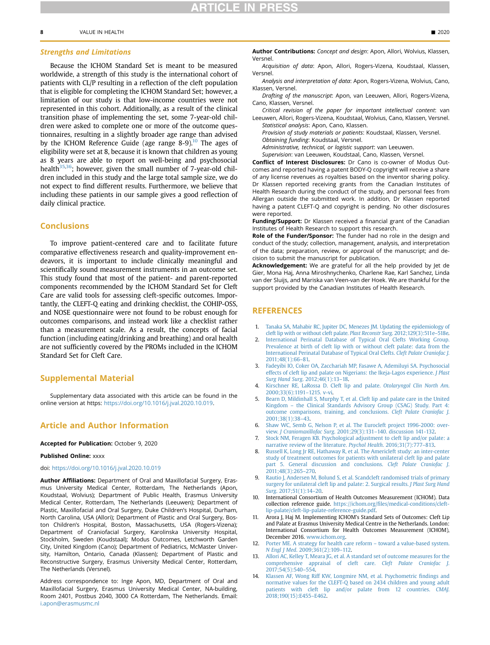Because the ICHOM Standard Set is meant to be measured worldwide, a strength of this study is the international cohort of patients with CL/P resulting in a reflection of the cleft population that is eligible for completing the ICHOM Standard Set; however, a limitation of our study is that low-income countries were not represented in this cohort. Additionally, as a result of the clinical transition phase of implementing the set, some 7-year-old children were asked to complete one or more of the outcome questionnaires, resulting in a slightly broader age range than advised by the ICHOM Reference Guide (age range  $8-9$ ).<sup>[10](#page-7-9)</sup> The ages of eligibility were set at 8, because it is known that children as young as 8 years are able to report on well-being and psychosocial health $35,36$  $35,36$ ; however, given the small number of 7-year-old children included in this study and the large total sample size, we do not expect to find different results. Furthermore, we believe that including these patients in our sample gives a good reflection of daily clinical practice.

## Conclusions

To improve patient-centered care and to facilitate future comparative effectiveness research and quality-improvement endeavors, it is important to include clinically meaningful and scientifically sound measurement instruments in an outcome set. This study found that most of the patient- and parent-reported components recommended by the ICHOM Standard Set for Cleft Care are valid tools for assessing cleft-specific outcomes. Importantly, the CLEFT-Q eating and drinking checklist, the COHIP-OSS, and NOSE questionnaire were not found to be robust enough for outcomes comparisons, and instead work like a checklist rather than a measurement scale. As a result, the concepts of facial function (including eating/drinking and breathing) and oral health are not sufficiently covered by the PROMs included in the ICHOM Standard Set for Cleft Care.

## Supplemental Material

Supplementary data associated with this article can be found in the online version at https: <https://doi.org/10.1016/j.jval.2020.10.019>.

## Article and Author Information

#### Accepted for Publication: October 9, 2020

## Published Online: xxxx

#### doi: [https://doi.org/10.1016/j.jval.2020.10.019](http://doi.org/https://doi.org/10.1016/j.jval.2020.10.019)

Author Affiliations: Department of Oral and Maxillofacial Surgery, Erasmus University Medical Center, Rotterdam, The Netherlands (Apon, Koudstaal, Wolvius); Department of Public Health, Erasmus University Medical Center, Rotterdam, The Netherlands (Leeuwen); Department of Plastic, Maxillofacial and Oral Surgery, Duke Children's Hospital, Durham, North Carolina, USA (Allori); Department of Plastic and Oral Surgery, Boston Children's Hospital, Boston, Massachusetts, USA (Rogers-Vizena); Department of Craniofacial Surgery, Karolinska University Hospital, Stockholm, Sweden (Koudstaal); Modus Outcomes, Letchworth Garden City, United Kingdom (Cano); Department of Pediatrics, McMaster University, Hamilton, Ontario, Canada (Klassen); Department of Plastic and Reconstructive Surgery, Erasmus University Medical Center, Rotterdam, The Netherlands (Versnel).

Address correspondence to: Inge Apon, MD, Department of Oral and Maxillofacial Surgery, Erasmus University Medical Center, NA-building, Room 2401, Postbus 2040, 3000 CA Rotterdam, The Netherlands. Email: [i.apon@erasmusmc.nl](mailto:i.apon@erasmusmc.nl)

Author Contributions: Concept and design: Apon, Allori, Wolvius, Klassen, **Versnel** 

Acquisition of data: Apon, Allori, Rogers-Vizena, Koudstaal, Klassen, Versnel.

Analysis and interpretation of data: Apon, Rogers-Vizena, Wolvius, Cano, Klassen, Versnel.

Drafting of the manuscript: Apon, van Leeuwen, Allori, Rogers-Vizena, Cano, Klassen, Versnel.

Critical revision of the paper for important intellectual content: van Leeuwen, Allori, Rogers-Vizena, Koudstaal, Wolvius, Cano, Klassen, Versnel. Statistical analysis: Apon, Cano, Klassen.

Provision of study materials or patients: Koudstaal, Klassen, Versnel. Obtaining funding: Koudstaal, Versnel.

Administrative, technical, or logistic support: van Leeuwen.

Supervision: van Leeuwen, Koudstaal, Cano, Klassen, Versnel.

Conflict of Interest Disclosures: Dr Cano is co-owner of Modus Outcomes and reported having a patent BODY-Q copyright will receive a share of any license revenues as royalties based on the inventor sharing policy. Dr Klassen reported receiving grants from the Canadian Institutes of Health Research during the conduct of the study, and personal fees from Allergan outside the submitted work. In addition, Dr Klassen reported having a patent CLEFT-Q and copyright is pending. No other disclosures were reported.

Funding/Support: Dr Klassen received a financial grant of the Canadian Institutes of Health Research to support this research.

Role of the Funder/Sponsor: The funder had no role in the design and conduct of the study; collection, management, analysis, and interpretation of the data; preparation, review, or approval of the manuscript; and decision to submit the manuscript for publication.

Acknowledgement: We are grateful for all the help provided by Jet de Gier, Mona Haj, Anna Miroshnychenko, Charlene Rae, Karl Sanchez, Linda van der Sluijs, and Mariska van Veen-van der Hoek. We are thankful for the support provided by the Canadian Institutes of Health Research.

## REFERENCES

- <span id="page-7-0"></span>1. [Tanaka SA, Mahabir RC, Jupiter DC, Menezes JM. Updating the epidemiology of](http://refhub.elsevier.com/S1098-3015(20)34468-5/sref1) [cleft lip with or without cleft palate.](http://refhub.elsevier.com/S1098-3015(20)34468-5/sref1) Plast Reconstr Surg. 2012;129(3):511e–518e.
- <span id="page-7-1"></span>[International Perinatal Database of Typical Oral Clefts Working Group.](http://refhub.elsevier.com/S1098-3015(20)34468-5/sref2) [Prevalence at birth of cleft lip with or without cleft palate: data from the](http://refhub.elsevier.com/S1098-3015(20)34468-5/sref2) [International Perinatal Database of Typical Oral Clefts.](http://refhub.elsevier.com/S1098-3015(20)34468-5/sref2) Cleft Palate Craniofac J. [2011;48\(1\):66](http://refhub.elsevier.com/S1098-3015(20)34468-5/sref2)–81.
- <span id="page-7-2"></span>3. [Fadeyibi IO, Coker OA, Zacchariah MP, Fasawe A, Ademiluyi SA. Psychosocial](http://refhub.elsevier.com/S1098-3015(20)34468-5/sref3) [effects of cleft lip and palate on Nigerians: the Ikeja-Lagos experience.](http://refhub.elsevier.com/S1098-3015(20)34468-5/sref3) J Plast Surg Hand Surg[. 2012;46\(1\):13](http://refhub.elsevier.com/S1098-3015(20)34468-5/sref3)–18.
- <span id="page-7-3"></span>4. [Kirschner RE, LaRossa D. Cleft lip and palate.](http://refhub.elsevier.com/S1098-3015(20)34468-5/sref4) Otolaryngol Clin North Am. [2000;33\(6\):1191](http://refhub.elsevier.com/S1098-3015(20)34468-5/sref4)–1215. v-vi.
- <span id="page-7-4"></span>5. [Bearn D, Mildinhall S, Murphy T, et al. Cleft lip and palate care in the United](http://refhub.elsevier.com/S1098-3015(20)34468-5/sref5) Kingdom – [the Clinical Standards Advisory Group \(CSAG\) Study. Part 4:](http://refhub.elsevier.com/S1098-3015(20)34468-5/sref5) [outcome comparisons, training, and conclusions.](http://refhub.elsevier.com/S1098-3015(20)34468-5/sref5) Cleft Palate Craniofac J. [2001;38\(1\):38](http://refhub.elsevier.com/S1098-3015(20)34468-5/sref5)–43.
- <span id="page-7-5"></span>6. [Shaw WC, Semb G, Nelson P, et al. The Eurocleft project 1996-2000: over](http://refhub.elsevier.com/S1098-3015(20)34468-5/sref6)view. J Craniomaxillofac Surg. 2001;29(3):131–[140. discussion 141-132](http://refhub.elsevier.com/S1098-3015(20)34468-5/sref6).
- <span id="page-7-6"></span>7. [Stock NM, Feragen KB. Psychological adjustment to cleft lip and/or palate: a](http://refhub.elsevier.com/S1098-3015(20)34468-5/sref7) [narrative review of the literature.](http://refhub.elsevier.com/S1098-3015(20)34468-5/sref7) Psychol Health. 2016;31(7):777–813.
- <span id="page-7-7"></span>8. [Russell K, Long Jr RE, Hathaway R, et al. The Americleft study: an inter-center](http://refhub.elsevier.com/S1098-3015(20)34468-5/sref8) [study of treatment outcomes for patients with unilateral cleft lip and palate](http://refhub.elsevier.com/S1098-3015(20)34468-5/sref8) [part 5. General discussion and conclusions.](http://refhub.elsevier.com/S1098-3015(20)34468-5/sref8) Cleft Palate Craniofac J. [2011;48\(3\):265](http://refhub.elsevier.com/S1098-3015(20)34468-5/sref8)–270.
- <span id="page-7-8"></span>9. [Rautio J, Andersen M, Bolund S, et al. Scandcleft randomised trials of primary](http://refhub.elsevier.com/S1098-3015(20)34468-5/sref9) [surgery for unilateral cleft lip and palate: 2. Surgical results.](http://refhub.elsevier.com/S1098-3015(20)34468-5/sref9) J Plast Surg Hand Surg[. 2017;51\(1\):14](http://refhub.elsevier.com/S1098-3015(20)34468-5/sref9)–20.
- <span id="page-7-9"></span>10. International Consortium of Health Outcomes Measurement (ICHOM). Data collection reference guide. https://ichom.org/fi[les/medical-conditions/cleft](https://ichom.org/files/medical-conditions/cleft-lip-palate/cleft-lip-palate-reference-guide.pdf)[lip-palate/cleft-lip-palate-reference-guide.pdf](https://ichom.org/files/medical-conditions/cleft-lip-palate/cleft-lip-palate-reference-guide.pdf).
- <span id="page-7-11"></span>11. Arora J, Haj M. Implementing ICHOM's Standard Sets of Outcomes: Cleft Lip and Palate at Erasmus University Medical Centre in the Netherlands. London: International Consortium for Health Outcomes Measurement (ICHOM), December 2016. [www.ichom.org](http://www.ichom.org).
- [Porter ME. A strategy for health care reform](http://refhub.elsevier.com/S1098-3015(20)34468-5/sref12) toward a value-based system. N Engl J Med[. 2009;361\(2\):109](http://refhub.elsevier.com/S1098-3015(20)34468-5/sref12)–112.
- [Allori AC, Kelley T, Meara JG, et al. A standard set of outcome measures for the](http://refhub.elsevier.com/S1098-3015(20)34468-5/sref13) [comprehensive appraisal of cleft care.](http://refhub.elsevier.com/S1098-3015(20)34468-5/sref13) Cleft Palate Craniofac J. [2017;54\(5\):540](http://refhub.elsevier.com/S1098-3015(20)34468-5/sref13)–554.
- <span id="page-7-10"></span>14. [Klassen AF, Wong Riff KW, Longmire NM, et al. Psychometric](http://refhub.elsevier.com/S1098-3015(20)34468-5/sref14) findings and [normative values for the CLEFT-Q based on 2434 children and young adult](http://refhub.elsevier.com/S1098-3015(20)34468-5/sref14) [patients with cleft lip and/or palate from 12 countries.](http://refhub.elsevier.com/S1098-3015(20)34468-5/sref14) CMAJ. [2018;190\(15\):E455](http://refhub.elsevier.com/S1098-3015(20)34468-5/sref14)–E462.